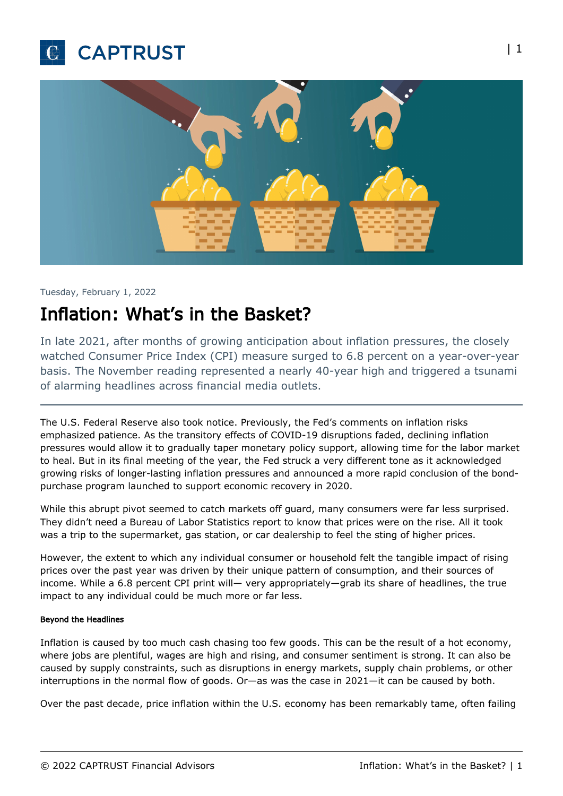



#### Tuesday, February 1, 2022

# Inflation: What's in the Basket?

In late 2021, after months of growing anticipation about inflation pressures, the closely watched Consumer Price Index (CPI) measure surged to 6.8 percent on a year-over-year basis. The November reading represented a nearly 40-year high and triggered a tsunami of alarming headlines across financial media outlets.

The U.S. Federal Reserve also took notice. Previously, the Fed's comments on inflation risks emphasized patience. As the transitory effects of COVID-19 disruptions faded, declining inflation pressures would allow it to gradually taper monetary policy support, allowing time for the labor market to heal. But in its final meeting of the year, the Fed struck a very different tone as it acknowledged growing risks of longer-lasting inflation pressures and announced a more rapid conclusion of the bondpurchase program launched to support economic recovery in 2020.

While this abrupt pivot seemed to catch markets off guard, many consumers were far less surprised. They didn't need a Bureau of Labor Statistics report to know that prices were on the rise. All it took was a trip to the supermarket, gas station, or car dealership to feel the sting of higher prices.

However, the extent to which any individual consumer or household felt the tangible impact of rising prices over the past year was driven by their unique pattern of consumption, and their sources of income. While a 6.8 percent CPI print will— very appropriately—grab its share of headlines, the true impact to any individual could be much more or far less.

#### Beyond the Headlines

Inflation is caused by too much cash chasing too few goods. This can be the result of a hot economy, where jobs are plentiful, wages are high and rising, and consumer sentiment is strong. It can also be caused by supply constraints, such as disruptions in energy markets, supply chain problems, or other interruptions in the normal flow of goods. Or—as was the case in 2021—it can be caused by both.

Over the past decade, price inflation within the U.S. economy has been remarkably tame, often failing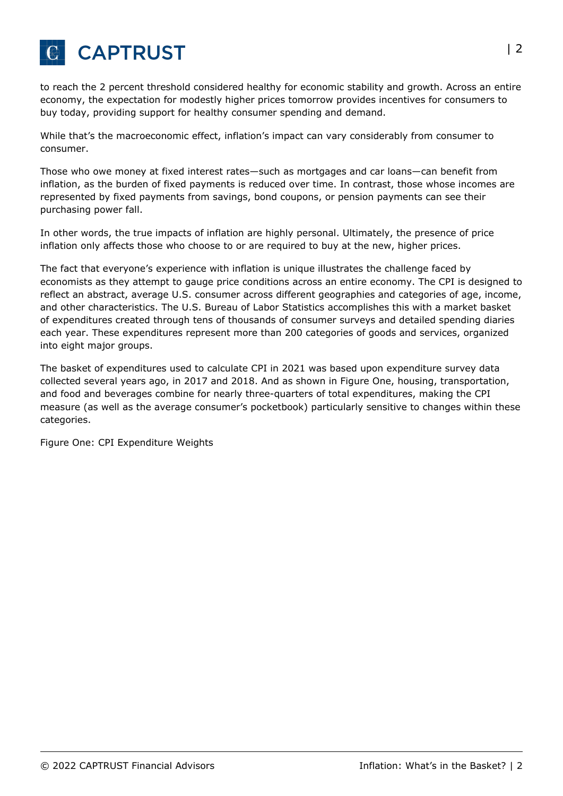

to reach the 2 percent threshold considered healthy for economic stability and growth. Across an entire economy, the expectation for modestly higher prices tomorrow provides incentives for consumers to buy today, providing support for healthy consumer spending and demand.

While that's the macroeconomic effect, inflation's impact can vary considerably from consumer to consumer.

Those who owe money at fixed interest rates—such as mortgages and car loans—can benefit from inflation, as the burden of fixed payments is reduced over time. In contrast, those whose incomes are represented by fixed payments from savings, bond coupons, or pension payments can see their purchasing power fall.

In other words, the true impacts of inflation are highly personal. Ultimately, the presence of price inflation only affects those who choose to or are required to buy at the new, higher prices.

The fact that everyone's experience with inflation is unique illustrates the challenge faced by economists as they attempt to gauge price conditions across an entire economy. The CPI is designed to reflect an abstract, average U.S. consumer across different geographies and categories of age, income, and other characteristics. The U.S. Bureau of Labor Statistics accomplishes this with a market basket of expenditures created through tens of thousands of consumer surveys and detailed spending diaries each year. These expenditures represent more than 200 categories of goods and services, organized into eight major groups.

The basket of expenditures used to calculate CPI in 2021 was based upon expenditure survey data collected several years ago, in 2017 and 2018. And as shown in Figure One, housing, transportation, and food and beverages combine for nearly three-quarters of total expenditures, making the CPI measure (as well as the average consumer's pocketbook) particularly sensitive to changes within these categories.

Figure One: CPI Expenditure Weights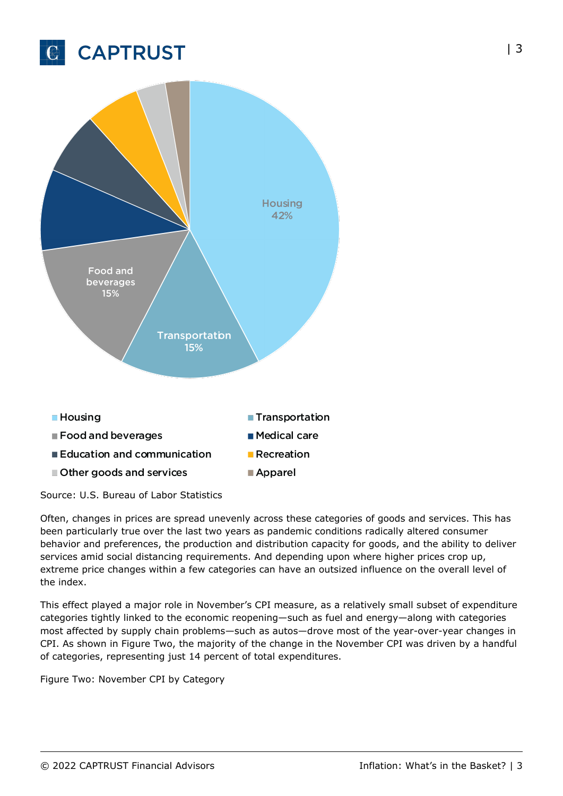



Source: U.S. Bureau of Labor Statistics

Often, changes in prices are spread unevenly across these categories of goods and services. This has been particularly true over the last two years as pandemic conditions radically altered consumer behavior and preferences, the production and distribution capacity for goods, and the ability to deliver services amid social distancing requirements. And depending upon where higher prices crop up, extreme price changes within a few categories can have an outsized influence on the overall level of the index.

This effect played a major role in November's CPI measure, as a relatively small subset of expenditure categories tightly linked to the economic reopening—such as fuel and energy—along with categories most affected by supply chain problems—such as autos—drove most of the year-over-year changes in CPI. As shown in Figure Two, the majority of the change in the November CPI was driven by a handful of categories, representing just 14 percent of total expenditures.

Figure Two: November CPI by Category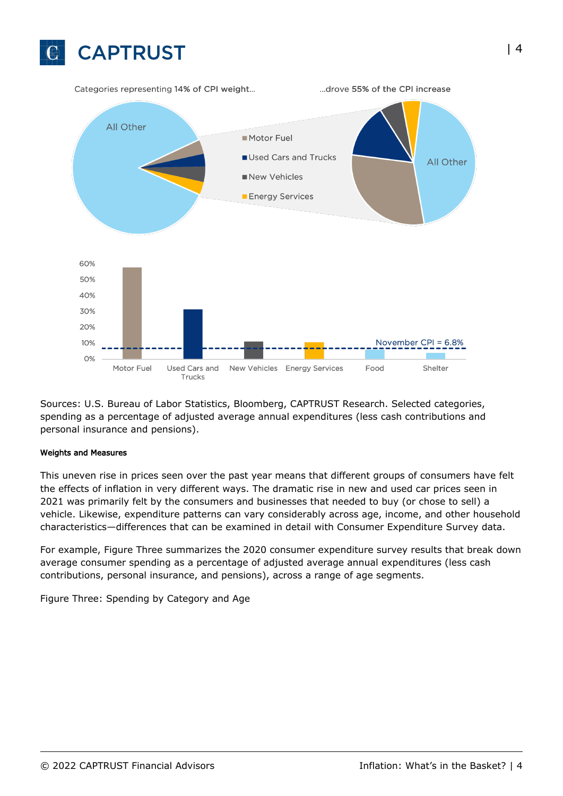

Sources: U.S. Bureau of Labor Statistics, Bloomberg, CAPTRUST Research. Selected categories, spending as a percentage of adjusted average annual expenditures (less cash contributions and personal insurance and pensions).

#### Weights and Measures

This uneven rise in prices seen over the past year means that different groups of consumers have felt the effects of inflation in very different ways. The dramatic rise in new and used car prices seen in 2021 was primarily felt by the consumers and businesses that needed to buy (or chose to sell) a vehicle. Likewise, expenditure patterns can vary considerably across age, income, and other household characteristics—differences that can be examined in detail with Consumer Expenditure Survey data.

For example, Figure Three summarizes the 2020 consumer expenditure survey results that break down average consumer spending as a percentage of adjusted average annual expenditures (less cash contributions, personal insurance, and pensions), across a range of age segments.

Figure Three: Spending by Category and Age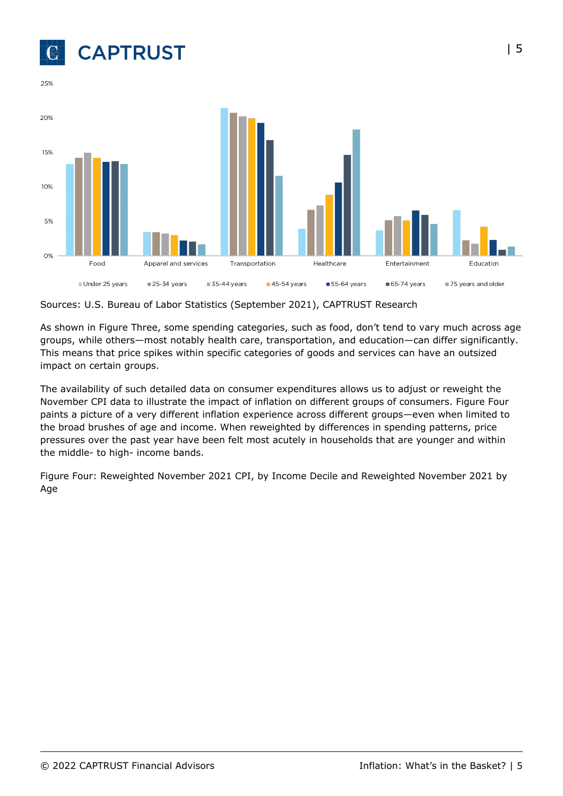

25%



Sources: U.S. Bureau of Labor Statistics (September 2021), CAPTRUST Research

As shown in Figure Three, some spending categories, such as food, don't tend to vary much across age groups, while others—most notably health care, transportation, and education—can differ significantly. This means that price spikes within specific categories of goods and services can have an outsized impact on certain groups.

The availability of such detailed data on consumer expenditures allows us to adjust or reweight the November CPI data to illustrate the impact of inflation on different groups of consumers. Figure Four paints a picture of a very different inflation experience across different groups—even when limited to the broad brushes of age and income. When reweighted by differences in spending patterns, price pressures over the past year have been felt most acutely in households that are younger and within the middle- to high- income bands.

Figure Four: Reweighted November 2021 CPI, by Income Decile and Reweighted November 2021 by Age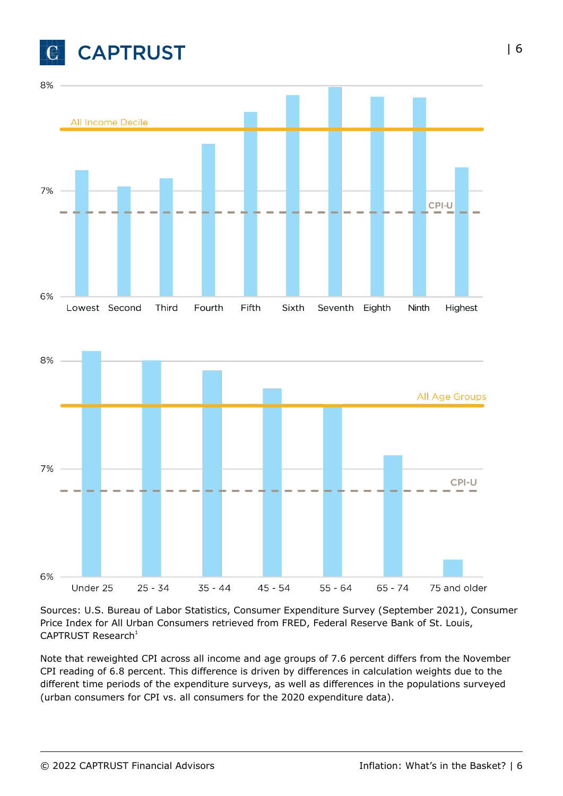





Sources: U.S. Bureau of Labor Statistics, Consumer Expenditure Survey (September 2021), Consumer Price Index for All Urban Consumers retrieved from FRED, Federal Reserve Bank of St. Louis,  $CAPTRUST$  Research<sup>1</sup>

Note that reweighted CPI across all income and age groups of 7.6 percent differs from the November CPI reading of 6.8 percent. This difference is driven by differences in calculation weights due to the different time periods of the expenditure surveys, as well as differences in the populations surveyed (urban consumers for CPI vs. all consumers for the 2020 expenditure data).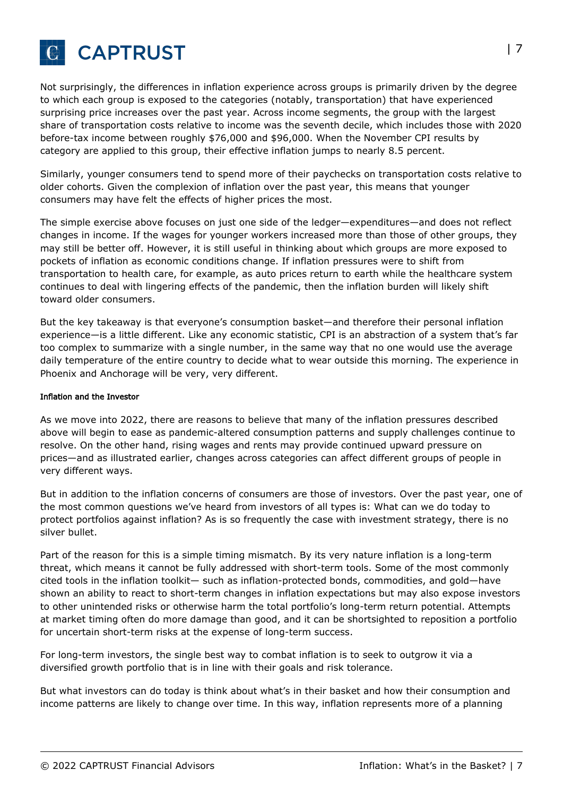

Not surprisingly, the differences in inflation experience across groups is primarily driven by the degree to which each group is exposed to the categories (notably, transportation) that have experienced surprising price increases over the past year. Across income segments, the group with the largest share of transportation costs relative to income was the seventh decile, which includes those with 2020 before-tax income between roughly \$76,000 and \$96,000. When the November CPI results by category are applied to this group, their effective inflation jumps to nearly 8.5 percent.

Similarly, younger consumers tend to spend more of their paychecks on transportation costs relative to older cohorts. Given the complexion of inflation over the past year, this means that younger consumers may have felt the effects of higher prices the most.

The simple exercise above focuses on just one side of the ledger—expenditures—and does not reflect changes in income. If the wages for younger workers increased more than those of other groups, they may still be better off. However, it is still useful in thinking about which groups are more exposed to pockets of inflation as economic conditions change. If inflation pressures were to shift from transportation to health care, for example, as auto prices return to earth while the healthcare system continues to deal with lingering effects of the pandemic, then the inflation burden will likely shift toward older consumers.

But the key takeaway is that everyone's consumption basket—and therefore their personal inflation experience—is a little different. Like any economic statistic, CPI is an abstraction of a system that's far too complex to summarize with a single number, in the same way that no one would use the average daily temperature of the entire country to decide what to wear outside this morning. The experience in Phoenix and Anchorage will be very, very different.

#### Inflation and the Investor

As we move into 2022, there are reasons to believe that many of the inflation pressures described above will begin to ease as pandemic-altered consumption patterns and supply challenges continue to resolve. On the other hand, rising wages and rents may provide continued upward pressure on prices—and as illustrated earlier, changes across categories can affect different groups of people in very different ways.

But in addition to the inflation concerns of consumers are those of investors. Over the past year, one of the most common questions we've heard from investors of all types is: What can we do today to protect portfolios against inflation? As is so frequently the case with investment strategy, there is no silver bullet.

Part of the reason for this is a simple timing mismatch. By its very nature inflation is a long-term threat, which means it cannot be fully addressed with short-term tools. Some of the most commonly cited tools in the inflation toolkit— such as inflation-protected bonds, commodities, and gold—have shown an ability to react to short-term changes in inflation expectations but may also expose investors to other unintended risks or otherwise harm the total portfolio's long-term return potential. Attempts at market timing often do more damage than good, and it can be shortsighted to reposition a portfolio for uncertain short-term risks at the expense of long-term success.

For long-term investors, the single best way to combat inflation is to seek to outgrow it via a diversified growth portfolio that is in line with their goals and risk tolerance.

But what investors can do today is think about what's in their basket and how their consumption and income patterns are likely to change over time. In this way, inflation represents more of a planning